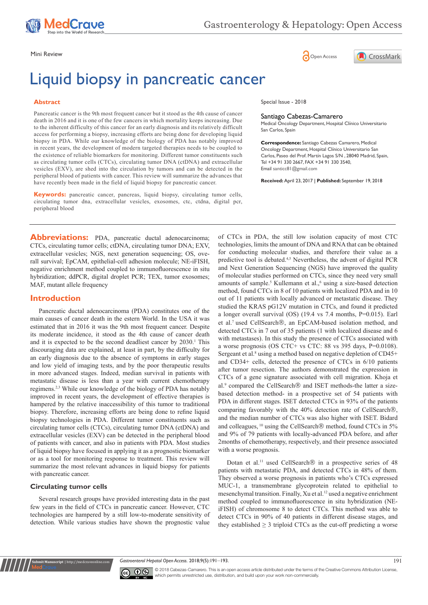

Mini Review **Open Access** 

# Liquid biopsy in pancreatic cancer

### **Abstract**

Pancreatic cancer is the 9th most frequent cancer but it stood as the 4th cause of cancer death in 2016 and it is one of the few cancers in which mortality keeps increasing. Due to the inherent difficulty of this cancer for an early diagnosis and its relatively difficult access for performing a biopsy, increasing efforts are being done for developing liquid biopsy in PDA. While our knowledge of the biology of PDA has notably improved in recent years, the development of modern targeted therapies needs to be coupled to the existence of reliable biomarkers for monitoring. Different tumor constituents such as circulating tumor cells (CTCs), circulating tumor DNA (ctDNA) and extracellular vesicles (EXV), are shed into the circulation by tumors and can be detected in the peripheral blood of patients with cancer. This review will summarize the advances that have recently been made in the field of liquid biopsy for pancreatic cancer.

**Keywords:** pancreatic cancer, pancreas, liquid biopsy, circulating tumor cells, circulating tumor dna, extracellular vesicles, exosomes, ctc, ctdna, digital pcr, peripheral blood

**Abbreviations:** PDA, pancreatic ductal adenocarcinoma; CTCs, circulating tumor cells; ctDNA, circulating tumor DNA; EXV, extracellular vesicles; NGS, next generation sequencing; OS, overall survival; EpCAM, epithelial-cell adhesion molecule; NE-iFISH, negative enrichment method coupled to immunofluorescence in situ hybridization; ddPCR, digital droplet PCR; TEX, tumor exosomes; MAF, mutant allele frequency

# **Introduction**

Pancreatic ductal adenocarcinoma (PDA) constitutes one of the main causes of cancer death in the estern World. In the USA it was estimated that in 2016 it was the 9th most frequent cancer. Despite its moderate incidence, it stood as the 4th cause of cancer death and it is expected to be the second deadliest cancer by 2030.<sup>1</sup> This discouraging data are explained, at least in part, by the difficulty for an early diagnosis due to the absence of symptoms in early stages and low yield of imaging tests, and by the poor therapeutic results in more advanced stages. Indeed, median survival in patients with metastatic disease is less than a year with current chemotherapy regimens.2,3 While our knowledge of the biology of PDA has notably improved in recent years, the development of effective therapies is hampered by the relative inaccessibility of this tumor to traditional biopsy. Therefore, increasing efforts are being done to refine liquid biopsy technologies in PDA. Different tumor constituents such as circulating tumor cells (CTCs), circulating tumor DNA (ctDNA) and extracellular vesicles (EXV) can be detected in the peripheral blood of patients with cancer, and also in patients with PDA. Most studies of liquid biopsy have focused in applying it as a prognostic biomarker or as a tool for monitoring response to treatment. This review will summarize the most relevant advances in liquid biopsy for patients with pancreatic cancer.

## **Circulating tumor cells**

**mit Manuscript** | http://medcrav

Several research groups have provided interesting data in the past few years in the field of CTCs in pancreatic cancer. However, CTC technologies are hampered by a still low-to-moderate sensitivity of detection. While various studies have shown the prognostic value

Special Issue - 2018

## Santiago Cabezas-Camarero

Medical Oncology Department, Hospital Clínico Universitario San Carlos, Spain

CrossMark

**Correspondence:** Santiago Cabezas Camarero, Medical Oncology Department, Hospital Clínico Universitario San Carlos, Paseo del Prof. Martín Lagos S/N , 28040 Madrid, Spain, Tel +34 91 330 2667, FAX +34 91 330 3540, Email santicc81@gmail.com

**Received:** April 23, 2017 | **Published:** September 19, 2018

of CTCs in PDA, the still low isolation capacity of most CTC technologies, limits the amount of DNA and RNA that can be obtained for conducting molecular studies, and therefore their value as a predictive tool is debated.<sup>4,5</sup> Nevertheless, the advent of digital PCR and Next Generation Sequencing (NGS) have improved the quality of molecular studies performed on CTCs, since they need very small amounts of sample.<sup>5</sup> Kullemann et al.,<sup>6</sup> using a size-based detection method, found CTCs in 8 of 10 patients with localized PDA and in 10 out of 11 patients with locally advanced or metastatic disease. They studied the KRAS pG12V mutation in CTCs, and found it predicted a longer overall survival (OS) (19.4 vs 7.4 months, P=0.015). Earl et al.<sup>7</sup> used CellSearch®, an EpCAM-based isolation method, and detected CTCs in 7 out of 35 patients (1 with localized disease and 6 with metastases). In this study the presence of CTCs associated with a worse prognosis (OS CTC+ vs CTC: 88 vs 395 days, P=0.0108). Sergeant et al.<sup>8</sup> using a method based on negative depletion of  $CD45+$ and CD34+ cells, detected the presence of CTCs in 6/10 patients after tumor resection. The authors demonstrated the expression in CTCs of a gene signature associated with cell migration. Khoja et al.<sup>9</sup> compared the CellSearch<sup>®</sup> and ISET methods-the latter a sizebased detection method- in a prospective set of 54 patients with PDA in different stages. ISET detected CTCs in 93% of the patients comparing favorably with the 40% detection rate of CellSearch®, and the median number of CTCs was also higher with ISET. Bidard and colleagues, <sup>10</sup> using the CellSearch<sup>®</sup> method, found CTCs in 5% and 9% of 79 patients with locally-advanced PDA before, and after 2months of chemotherapy, respectively, and their presence associated with a worse prognosis.

Dotan et al.<sup>11</sup> used CellSearch<sup>®</sup> in a prospective series of 48 patients with metastatic PDA, and detected CTCs in 48% of them. They observed a worse prognosis in patients who's CTCs expressed MUC-1, a transmembrane glycoprotein related to epithelial to mesenchymal transition. Finally, Xu et al.<sup>12</sup> used a negative enrichment method coupled to immunofluorescence in situ hybridization (NEiFISH) of chromosome 8 to detect CTCs. This method was able to detect CTCs in 90% of 40 patients in different disease stages, and they established  $\geq$  3 triploid CTCs as the cut-off predicting a worse





© 2018 Cabezas-Camarero. This is an open access article distributed under the terms of the [Creative Commons Attribution License](https://creativecommons.org/licenses/by-nc/4.0/), which permits unrestricted use, distribution, and build upon your work non-commercially.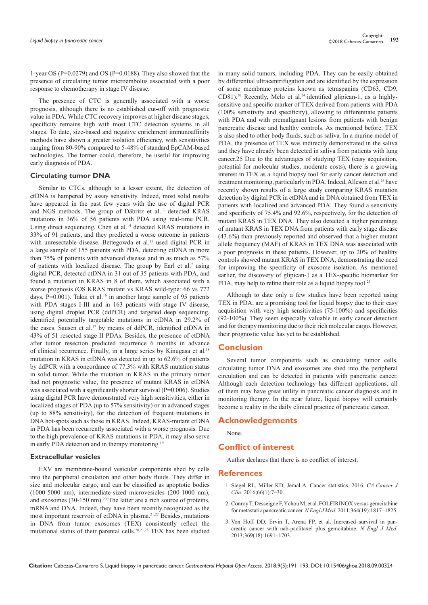1-year OS (P=0.0279) and OS (P=0.0188). They also showed that the presence of circulating tumor microembolus associated with a poor response to chemotherapy in stage IV disease.

The presence of CTC is generally associated with a worse prognosis, although there is no established cut-off with prognostic value in PDA. While CTC recovery improves at higher disease stages, specificity remains high with most CTC detection systems in all stages. To date, size-based and negative enrichment immunoaffinity methods have shown a greater isolation efficiency, with sensitivities ranging from 80-90% compared to 5-48% of standard EpCAM-based technologies. The former could, therefore, be useful for improving early diagnosis of PDA.

## **Circulating tumor DNA**

Similar to CTCs, although to a lesser extent, the detection of ctDNA is hampered by assay sensitivity. Indeed, most solid results have appeared in the past few years with the use of digital PCR and NGS methods. The group of Däbritz et al.13 detected KRAS mutations in 36% of 56 patients with PDA using real-time PCR. Using direct sequencing, Chen et al.<sup>14</sup> detected KRAS mutations in 33% of 91 patients, and they predicted a worse outcome in patients with unresectable disease. Bettegowda et al.<sup>15</sup> used digital PCR in a large sample of 155 patients with PDA, detecting ctDNA in more than 75% of patients with advanced disease and in as much as 57% of patients with localized disease. The group by Earl et al.<sup>7</sup> using digital PCR, detected ctDNA in 31 out of 35 patients with PDA, and found a mutation in KRAS in 8 of them, which associated with a worse prognosis (OS KRAS mutant vs KRAS wild-type: 66 vs 772 days, P=0.001). Takai et al.<sup>16</sup> in another large sample of 95 patients with PDA stages I-III and in 163 patients with stage IV disease, using digital droplet PCR (ddPCR) and targeted deep sequencing, identified potentially targetable mutations in ctDNA in 29.2% of the cases. Sausen et al.<sup>17</sup> by means of ddPCR, identified ctDNA in 43% of 51 resected stage II PDAs. Besides, the presence of ctDNA after tumor resection predicted recurrence 6 months in advance of clinical recurrence. Finally, in a large series by Kinugasa et al.18 mutation in KRAS in ctDNA was detected in up to 62.6% of patients by ddPCR with a concordance of 77.3% with KRAS mutation status in solid tumor. While the mutation in KRAS in the primary tumor had not prognostic value, the presence of mutant KRAS in ctDNA was associated with a significantly shorter survival (P=0.006). Studies using digital PCR have demonstrated very high sensitivities, either in localized stages of PDA (up to 57% sensitivity) or in advanced stages (up to 88% sensitivity), for the detection of frequent mutations in DNA hot-spots such as those in KRAS. Indeed, KRAS-mutant ctDNA in PDA has been recurrently associated with a worse prognosis. Due to the high prevalence of KRAS mutations in PDA, it may also serve in early PDA detection and in therapy monitoring.<sup>19</sup>

#### **Extracellular vesicles**

EXV are membrane-bound vesicular components shed by cells into the peripheral circulation and other body fluids. They differ in size and molecular cargo, and can be classified as apoptotic bodies (1000-5000 nm), intermediate-sized microvesicles (200-1000 nm), and exosomes  $(30-150 \text{ nm})^{20}$  The latter are a rich source of proteins, mRNA and DNA. Indeed, they have been recently recognized as the most important reservoir of ctDNA in plasma.21,22 Besides, mutations in DNA from tumor exosomes (TEX) consistently reflect the mutational status of their parental cells.20,21,23 TEX has been studied

in many solid tumors, including PDA. They can be easily obtained by differential ultracentrifugation and are identified by the expression of some membrane proteins known as tetraspanins (CD63, CD9, CD81).<sup>20</sup> Recently, Melo et al.<sup>24</sup> identified glipican-1, as a highlysensitive and specific marker of TEX derived from patients with PDA (100% sensitivity and specificity), allowing to differentiate patients with PDA and with premalignant lesions from patients with benign pancreatic disease and healthy controls. As mentioned before, TEX is also shed to other body fluids, such as saliva. In a murine model of PDA, the presence of TEX was indirectly demonstrated in the saliva and they have already been detected in saliva from patients with lung cancer.25 Due to the advantages of studying TEX (easy acquisition, potential for molecular studies, moderate costs), there is a growing interest in TEX as a liquid biopsy tool for early cancer detection and treatment monitoring, particularly in PDA. Indeed, Alleson et al.<sup>26</sup> have recently shown results of a large study comparing KRAS mutation detection by digital PCR in ctDNA and in DNA obtained from TEX in patients with localized and advanced PDA. They found a sensitivity and specificity of 75.4% and 92.6%, respectively, for the detection of mutant KRAS in TEX DNA. They also detected a higher percentage of mutant KRAS in TEX DNA from patients with early stage disease (43.6%) than previously reported and observed that a higher mutant allele frequency (MAF) of KRAS in TEX DNA was associated with a poor prognosis in these patients. However, up to 20% of healthy controls showed mutant KRAS in TEX DNA, demonstrating the need for improving the specificity of exosome isolation. As mentioned earlier, the discovery of glipican-1 as a TEX-specific biomarker for PDA, may help to refine their role as a liquid biopsy tool.<sup>24</sup>

Although to date only a few studies have been reported using TEX in PDA, are a promising tool for liquid biopsy due to their easy acquisition with very high sensitivities (75-100%) and specificities (92-100%). They seem especially valuable in early cancer detection and for therapy monitoring due to their rich molecular cargo. However, their prognostic value has yet to be established.

## **Conclusion**

Several tumor components such as circulating tumor cells, circulating tumor DNA and exosomes are shed into the peripheral circulation and can be detected in patients with pancreatic cancer. Although each detection technology has different applications, all of them may have great utility in pancreatic cancer diagnosis and in monitoring therapy. In the near future, liquid biopsy will certainly become a reality in the daily clinical practice of pancreatic cancer.

## **Acknowledgements**

None.

# **Conflict of interest**

Author declares that there is no conflict of interest.

## **References**

- 1. [Siegel RL, Miller KD, Jemal A. Cancer statistics, 2016.](https://www.ncbi.nlm.nih.gov/pubmed/26742998) *CA Cancer J Clin*[. 2016;66\(1\):7‒30.](https://www.ncbi.nlm.nih.gov/pubmed/26742998)
- 2. [Conroy T, Desseigne F, Ychou M, et al. FOLFIRINOX versus gemcitabine](https://www.ncbi.nlm.nih.gov/pubmed/21561347)  [for metastatic pancreatic cancer.](https://www.ncbi.nlm.nih.gov/pubmed/21561347) *N Engl J Med*. 2011;364(19):1817‒1825.
- 3. Von Hoff DD, Ervin T, Arena FP, et al. Increased survival in pancreatic cancer with nab-paclitaxel plus gemcitabine. *N Engl J Med*. 2013;369(18):1691‒1703.